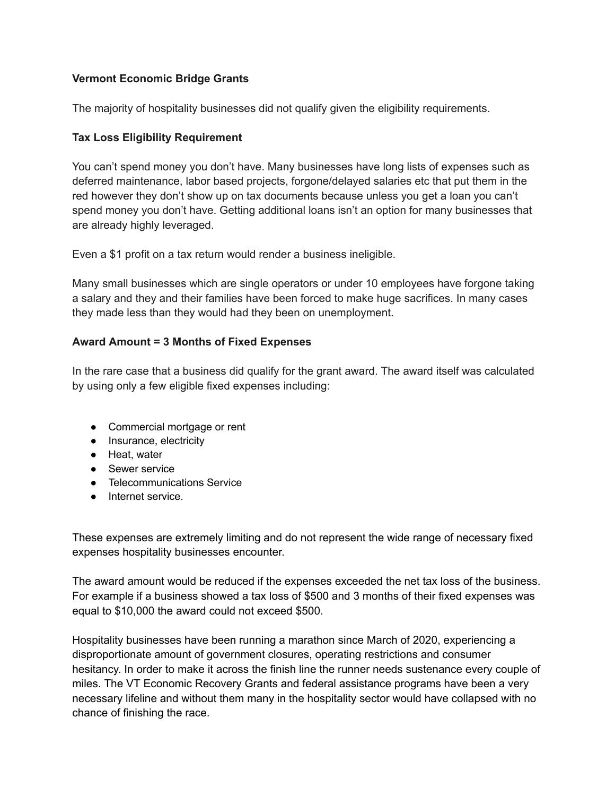# **Vermont Economic Bridge Grants**

The majority of hospitality businesses did not qualify given the eligibility requirements.

### **Tax Loss Eligibility Requirement**

You can't spend money you don't have. Many businesses have long lists of expenses such as deferred maintenance, labor based projects, forgone/delayed salaries etc that put them in the red however they don't show up on tax documents because unless you get a loan you can't spend money you don't have. Getting additional loans isn't an option for many businesses that are already highly leveraged.

Even a \$1 profit on a tax return would render a business ineligible.

Many small businesses which are single operators or under 10 employees have forgone taking a salary and they and their families have been forced to make huge sacrifices. In many cases they made less than they would had they been on unemployment.

### **Award Amount = 3 Months of Fixed Expenses**

In the rare case that a business did qualify for the grant award. The award itself was calculated by using only a few eligible fixed expenses including:

- Commercial mortgage or rent
- Insurance, electricity
- Heat, water
- Sewer service
- Telecommunications Service
- Internet service.

These expenses are extremely limiting and do not represent the wide range of necessary fixed expenses hospitality businesses encounter.

The award amount would be reduced if the expenses exceeded the net tax loss of the business. For example if a business showed a tax loss of \$500 and 3 months of their fixed expenses was equal to \$10,000 the award could not exceed \$500.

Hospitality businesses have been running a marathon since March of 2020, experiencing a disproportionate amount of government closures, operating restrictions and consumer hesitancy. In order to make it across the finish line the runner needs sustenance every couple of miles. The VT Economic Recovery Grants and federal assistance programs have been a very necessary lifeline and without them many in the hospitality sector would have collapsed with no chance of finishing the race.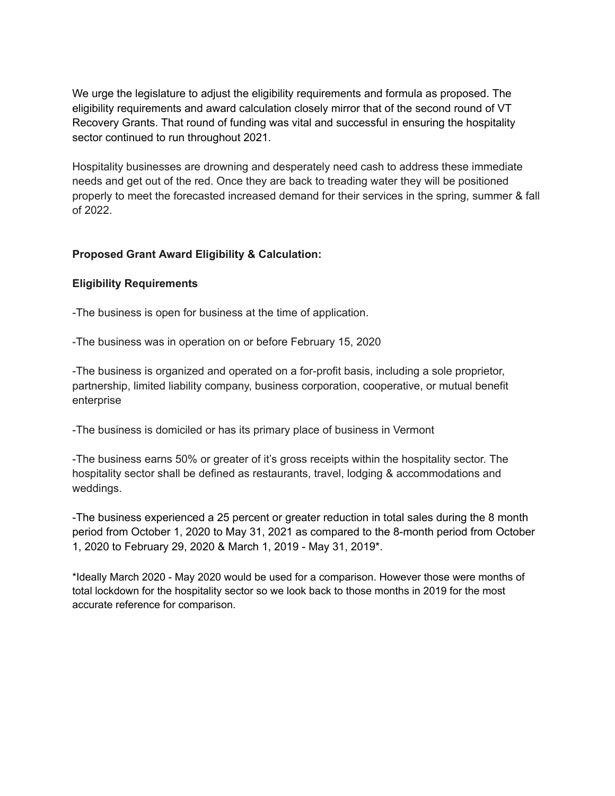We urge the legislature to adjust the eligibility requirements and formula as proposed. The eligibility requirements and award calculation closely mirror that of the second round of VT Recovery Grants. That round of funding was vital and successful in ensuring the hospitality sector continued to run throughout 2021.

Hospitality businesses are drowning and desperately need cash to address these immediate needs and get out of the red. Once they are back to treading water they will be positioned properly to meet the forecasted increased demand for their services in the spring, summer & fall of 2022.

## **Proposed Grant Award Eligibility & Calculation:**

### **Eligibility Requirements**

-The business is open for business at the time of application.

-The business was in operation on or before February 15, 2020

-The business is organized and operated on a for-profit basis, including a sole proprietor, partnership, limited liability company, business corporation, cooperative, or mutual benefit enterprise

-The business is domiciled or has its primary place of business in Vermont

-The business earns 50% or greater of it's gross receipts within the hospitality sector. The hospitality sector shall be defined as restaurants, travel, lodging & accommodations and weddings.

-The business experienced a 25 percent or greater reduction in total sales during the 8 month period from October 1, 2020 to May 31, 2021 as compared to the 8-month period from October 1, 2020 to February 29, 2020 & March 1, 2019 - May 31, 2019\*.

\*Ideally March 2020 - May 2020 would be used for a comparison. However those were months of total lockdown for the hospitality sector so we look back to those months in 2019 for the most accurate reference for comparison.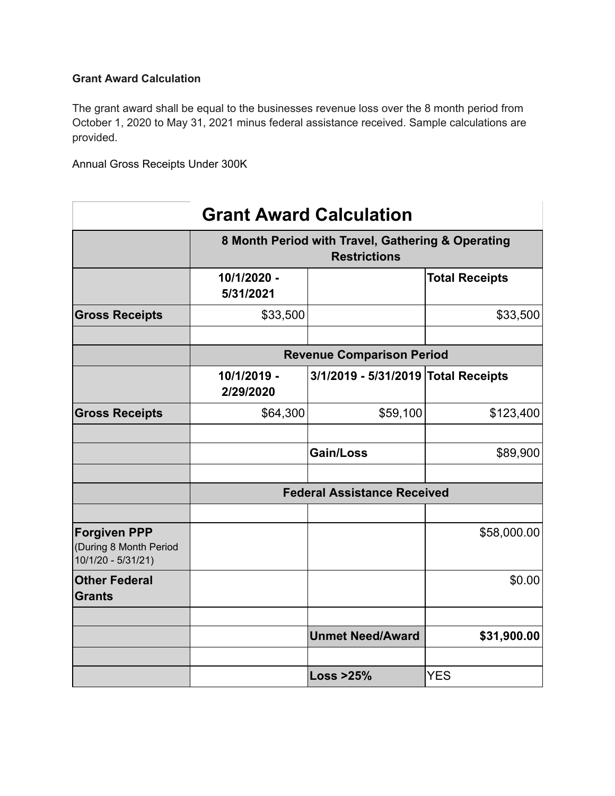# **Grant Award Calculation**

The grant award shall be equal to the businesses revenue loss over the 8 month period from October 1, 2020 to May 31, 2021 minus federal assistance received. Sample calculations are provided.

Annual Gross Receipts Under 300K

| <b>Grant Award Calculation</b>                                      |                                                                          |                                     |                       |  |
|---------------------------------------------------------------------|--------------------------------------------------------------------------|-------------------------------------|-----------------------|--|
|                                                                     | 8 Month Period with Travel, Gathering & Operating<br><b>Restrictions</b> |                                     |                       |  |
|                                                                     | 10/1/2020 -<br>5/31/2021                                                 |                                     | <b>Total Receipts</b> |  |
| <b>Gross Receipts</b>                                               | \$33,500                                                                 |                                     | \$33,500              |  |
|                                                                     | <b>Revenue Comparison Period</b>                                         |                                     |                       |  |
|                                                                     | 10/1/2019 -<br>2/29/2020                                                 | 3/1/2019 - 5/31/2019 Total Receipts |                       |  |
| <b>Gross Receipts</b>                                               | \$64,300                                                                 | \$59,100                            | \$123,400             |  |
|                                                                     |                                                                          | Gain/Loss                           | \$89,900              |  |
|                                                                     | <b>Federal Assistance Received</b>                                       |                                     |                       |  |
| <b>Forgiven PPP</b><br>(During 8 Month Period<br>10/1/20 - 5/31/21) |                                                                          |                                     | \$58,000.00           |  |
| <b>Other Federal</b><br><b>Grants</b>                               |                                                                          |                                     | \$0.00                |  |
|                                                                     |                                                                          | <b>Unmet Need/Award</b>             | \$31,900.00           |  |
|                                                                     |                                                                          | Loss $>25\%$                        | <b>YES</b>            |  |